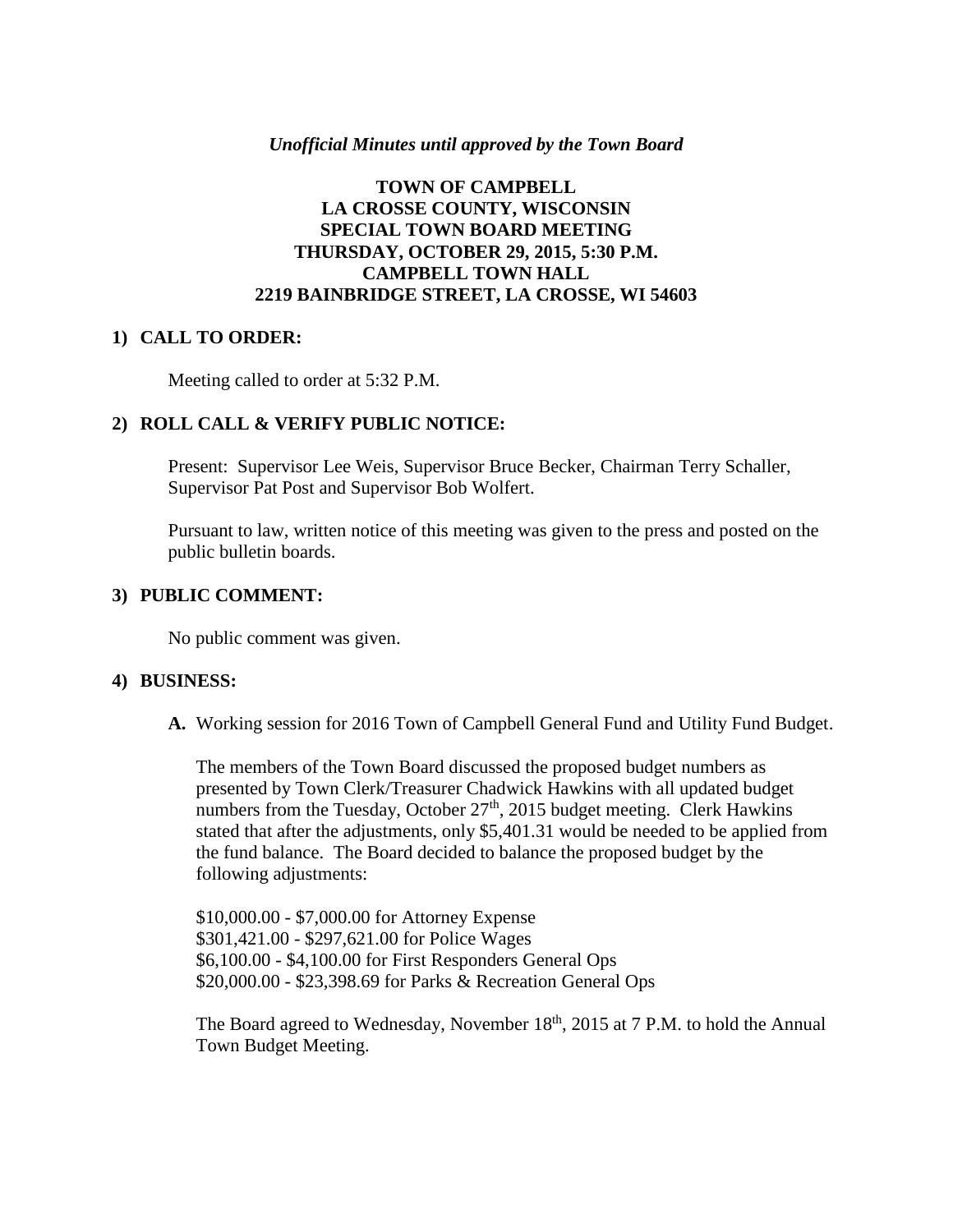## *Unofficial Minutes until approved by the Town Board*

## **TOWN OF CAMPBELL LA CROSSE COUNTY, WISCONSIN SPECIAL TOWN BOARD MEETING THURSDAY, OCTOBER 29, 2015, 5:30 P.M. CAMPBELL TOWN HALL 2219 BAINBRIDGE STREET, LA CROSSE, WI 54603**

## **1) CALL TO ORDER:**

Meeting called to order at 5:32 P.M.

## **2) ROLL CALL & VERIFY PUBLIC NOTICE:**

Present: Supervisor Lee Weis, Supervisor Bruce Becker, Chairman Terry Schaller, Supervisor Pat Post and Supervisor Bob Wolfert.

Pursuant to law, written notice of this meeting was given to the press and posted on the public bulletin boards.

## **3) PUBLIC COMMENT:**

No public comment was given.

#### **4) BUSINESS:**

**A.** Working session for 2016 Town of Campbell General Fund and Utility Fund Budget.

The members of the Town Board discussed the proposed budget numbers as presented by Town Clerk/Treasurer Chadwick Hawkins with all updated budget numbers from the Tuesday, October  $27<sup>th</sup>$ , 2015 budget meeting. Clerk Hawkins stated that after the adjustments, only \$5,401.31 would be needed to be applied from the fund balance. The Board decided to balance the proposed budget by the following adjustments:

\$10,000.00 - \$7,000.00 for Attorney Expense \$301,421.00 - \$297,621.00 for Police Wages \$6,100.00 - \$4,100.00 for First Responders General Ops \$20,000.00 - \$23,398.69 for Parks & Recreation General Ops

The Board agreed to Wednesday, November 18<sup>th</sup>, 2015 at 7 P.M. to hold the Annual Town Budget Meeting.